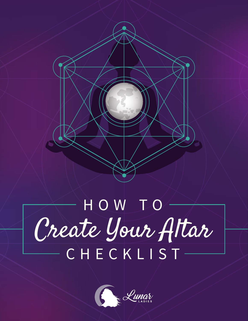

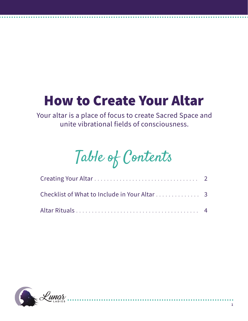## How to Create Your Altar

Your altar is a place of focus to create Sacred Space and unite vibrational fields of consciousness.

# Table of Contents

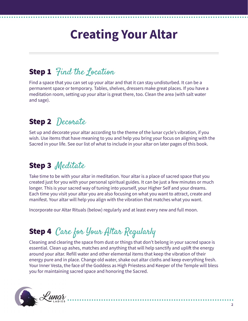## **Creating Your Altar**

#### **Step 1** *Find the focation*

Find a space that you can set up your altar and that it can stay undisturbed. It can be a permanent space or temporary. Tables, shelves, dressers make great places. If you have a meditation room, setting up your altar is great there, too. Clean the area (with salt water and sage).

#### Step 2 Decorate

Set up and decorate your altar according to the theme of the lunar cycle's vibration, if you wish. Use items that have meaning to you and help you bring your focus on aligning with the Sacred in your life. See our list of what to include in your altar on later pages of this book.

#### Step 3 Meditate

Take time to be with your altar in meditation. Your altar is a place of sacred space that you created just for you with your personal spiritual guides. It can be just a few minutes or much longer. This is your sacred way of tuning into yourself, your Higher Self and your dreams. Each time you visit your altar you are also focusing on what you want to attract, create and manifest. Your altar will help you align with the vibration that matches what you want.

Incorporate our Altar Rituals (below) regularly and at least every new and full moon.

### Step 4 Care for Your Altar Regularly

Cleaning and clearing the space from dust or things that don't belong in your sacred space is essential. Clean up ashes, matches and anything that will help sanctify and uplift the energy around your altar. Refill water and other elemental items that keep the vibration of their energy pure and in place. Change old water, shake out altar cloths and keep everything fresh. Your Inner Vesta, the face of the Goddess as High Priestess and Keeper of the Temple will bless you for maintaining sacred space and honoring the Sacred.

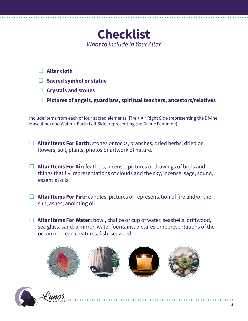

- £ **Altar cloth**
- £ **Sacred symbol or statue**
- £ **Crystals and stones**
- £ **Pictures of angels, guardians, spiritual teachers, ancestors/relatives**

Include items from each of four sacred elements (Fire + Air Right Side (representing the Divine Masculine) and Water + Earth Left Side (representing the Divine Feminine):

- £ **Altar Items For Earth:** stones or rocks, branches, dried herbs, dried or flowers, soil, plants, photos or artwork of nature.
- £ **Altar Items For Air:** feathers, incense, pictures or drawings of birds and things that fly, representations of clouds and the sky, incense, sage, sound, essential oils.
- £ **Altar Items For Fire:** candles, pictures or representation of fire and/or the sun, ashes, anointing oil.
- £ **Altar Items For Water:** bowl, chalice or cup of water, seashells, driftwood, sea glass, sand, a mirror, water fountains, pictures or representations of the ocean or ocean creatures, fish, seaweed.